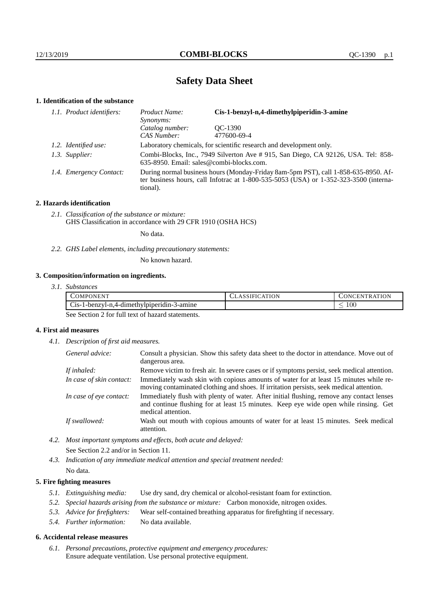# **Safety Data Sheet**

## **1. Identification of the substance**

| 1.1. Product identifiers: | Cis-1-benzyl-n,4-dimethylpiperidin-3-amine<br>Product Name:<br><i>Synonyms:</i>                                                                                                         |             |  |
|---------------------------|-----------------------------------------------------------------------------------------------------------------------------------------------------------------------------------------|-------------|--|
|                           | Catalog number:                                                                                                                                                                         | OC-1390     |  |
|                           | CAS Number:                                                                                                                                                                             | 477600-69-4 |  |
| 1.2. Identified use:      | Laboratory chemicals, for scientific research and development only.                                                                                                                     |             |  |
| 1.3. Supplier:            | Combi-Blocks, Inc., 7949 Silverton Ave # 915, San Diego, CA 92126, USA. Tel: 858-<br>635-8950. Email: sales@combi-blocks.com.                                                           |             |  |
| 1.4. Emergency Contact:   | During normal business hours (Monday-Friday 8am-5pm PST), call 1-858-635-8950. Af-<br>ter business hours, call Infotrac at 1-800-535-5053 (USA) or 1-352-323-3500 (interna-<br>tional). |             |  |

## **2. Hazards identification**

*2.1. Classification of the substance or mixture:* GHS Classification in accordance with 29 CFR 1910 (OSHA HCS)

No data.

*2.2. GHS Label elements, including precautionary statements:*

No known hazard.

## **3. Composition/information on ingredients.**

*3.1. Substances*

| 'OMPONEN'                                                            | ATION<br>1N)<br><b>HN</b><br>`R A |
|----------------------------------------------------------------------|-----------------------------------|
| $\sim$<br>. .<br>3-amıne<br>$C_1$ s-1-benzyl-n,4-dimethylpiperidin-5 | 100                               |

See Section 2 for full text of hazard statements.

## **4. First aid measures**

*4.1. Description of first aid measures.*

| General advice:          | Consult a physician. Show this safety data sheet to the doctor in attendance. Move out of<br>dangerous area.                                                                                            |
|--------------------------|---------------------------------------------------------------------------------------------------------------------------------------------------------------------------------------------------------|
| If inhaled:              | Remove victim to fresh air. In severe cases or if symptoms persist, seek medical attention.                                                                                                             |
| In case of skin contact: | Immediately wash skin with copious amounts of water for at least 15 minutes while re-<br>moving contaminated clothing and shoes. If irritation persists, seek medical attention.                        |
| In case of eye contact:  | Immediately flush with plenty of water. After initial flushing, remove any contact lenses<br>and continue flushing for at least 15 minutes. Keep eye wide open while rinsing. Get<br>medical attention. |
| If swallowed:            | Wash out mouth with copious amounts of water for at least 15 minutes. Seek medical<br>attention.                                                                                                        |

- *4.2. Most important symptoms and effects, both acute and delayed:* See Section 2.2 and/or in Section 11.
- *4.3. Indication of any immediate medical attention and special treatment needed:* No data.

## **5. Fire fighting measures**

- *5.1. Extinguishing media:* Use dry sand, dry chemical or alcohol-resistant foam for extinction.
- *5.2. Special hazards arising from the substance or mixture:* Carbon monoxide, nitrogen oxides.
- *5.3. Advice for firefighters:* Wear self-contained breathing apparatus for firefighting if necessary.
- *5.4. Further information:* No data available.

#### **6. Accidental release measures**

*6.1. Personal precautions, protective equipment and emergency procedures:* Ensure adequate ventilation. Use personal protective equipment.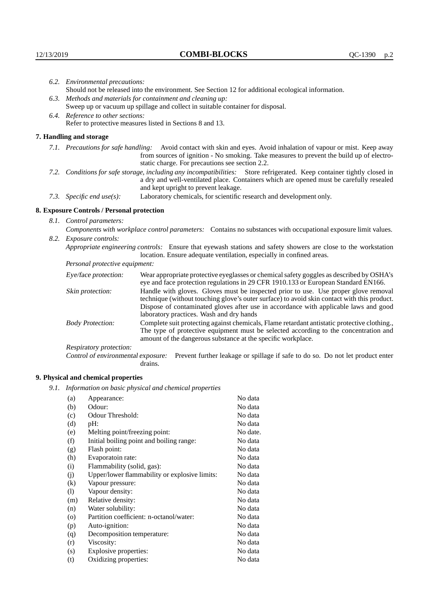|                                                                                                                                                                                                        | 6.2. Environmental precautions:                                                                                                                                                                                                                                    |                                                                                                                                                                                |  |
|--------------------------------------------------------------------------------------------------------------------------------------------------------------------------------------------------------|--------------------------------------------------------------------------------------------------------------------------------------------------------------------------------------------------------------------------------------------------------------------|--------------------------------------------------------------------------------------------------------------------------------------------------------------------------------|--|
|                                                                                                                                                                                                        | Should not be released into the environment. See Section 12 for additional ecological information.                                                                                                                                                                 |                                                                                                                                                                                |  |
|                                                                                                                                                                                                        | 6.3. Methods and materials for containment and cleaning up:                                                                                                                                                                                                        |                                                                                                                                                                                |  |
| Sweep up or vacuum up spillage and collect in suitable container for disposal.                                                                                                                         |                                                                                                                                                                                                                                                                    |                                                                                                                                                                                |  |
|                                                                                                                                                                                                        | 6.4. Reference to other sections:                                                                                                                                                                                                                                  |                                                                                                                                                                                |  |
|                                                                                                                                                                                                        |                                                                                                                                                                                                                                                                    | Refer to protective measures listed in Sections 8 and 13.                                                                                                                      |  |
|                                                                                                                                                                                                        | 7. Handling and storage                                                                                                                                                                                                                                            |                                                                                                                                                                                |  |
|                                                                                                                                                                                                        | 7.1. Precautions for safe handling: Avoid contact with skin and eyes. Avoid inhalation of vapour or mist. Keep away<br>from sources of ignition - No smoking. Take measures to prevent the build up of electro-<br>static charge. For precautions see section 2.2. |                                                                                                                                                                                |  |
|                                                                                                                                                                                                        | 7.2. Conditions for safe storage, including any incompatibilities: Store refrigerated. Keep container tightly closed in<br>a dry and well-ventilated place. Containers which are opened must be carefully resealed<br>and kept upright to prevent leakage.         |                                                                                                                                                                                |  |
|                                                                                                                                                                                                        | Laboratory chemicals, for scientific research and development only.<br>7.3. Specific end use(s):                                                                                                                                                                   |                                                                                                                                                                                |  |
|                                                                                                                                                                                                        | 8. Exposure Controls / Personal protection                                                                                                                                                                                                                         |                                                                                                                                                                                |  |
|                                                                                                                                                                                                        | 8.1. Control parameters:                                                                                                                                                                                                                                           |                                                                                                                                                                                |  |
|                                                                                                                                                                                                        | Components with workplace control parameters: Contains no substances with occupational exposure limit values.                                                                                                                                                      |                                                                                                                                                                                |  |
|                                                                                                                                                                                                        | 8.2. Exposure controls:                                                                                                                                                                                                                                            |                                                                                                                                                                                |  |
| Appropriate engineering controls: Ensure that eyewash stations and safety showers are close to the workstation                                                                                         |                                                                                                                                                                                                                                                                    | location. Ensure adequate ventilation, especially in confined areas.                                                                                                           |  |
|                                                                                                                                                                                                        | Personal protective equipment:                                                                                                                                                                                                                                     |                                                                                                                                                                                |  |
|                                                                                                                                                                                                        | Eye/face protection:                                                                                                                                                                                                                                               | Wear appropriate protective eyeglasses or chemical safety goggles as described by OSHA's<br>eye and face protection regulations in 29 CFR 1910.133 or European Standard EN166. |  |
| Handle with gloves. Gloves must be inspected prior to use. Use proper glove removal<br>Skin protection:<br>technique (without touching glove's outer surface) to avoid skin contact with this product. |                                                                                                                                                                                                                                                                    |                                                                                                                                                                                |  |

## **8. Exposure Controls / Personal protection**

| Eye/face protection:               | Wear appropriate protective eyeglasses or chemical safety goggles as described by OSHA's<br>eye and face protection regulations in 29 CFR 1910.133 or European Standard EN166.                                                                                                                                         |
|------------------------------------|------------------------------------------------------------------------------------------------------------------------------------------------------------------------------------------------------------------------------------------------------------------------------------------------------------------------|
| Skin protection:                   | Handle with gloves. Gloves must be inspected prior to use. Use proper glove removal<br>technique (without touching glove's outer surface) to avoid skin contact with this product.<br>Dispose of contaminated gloves after use in accordance with applicable laws and good<br>laboratory practices. Wash and dry hands |
| <b>Body Protection:</b>            | Complete suit protecting against chemicals, Flame retardant antistatic protective clothing.,<br>The type of protective equipment must be selected according to the concentration and<br>amount of the dangerous substance at the specific workplace.                                                                   |
| Respiratory protection:            |                                                                                                                                                                                                                                                                                                                        |
| Control of environmental exposure: | Prevent further leakage or spillage if safe to do so. Do not let product enter<br>drains.                                                                                                                                                                                                                              |

## **9. Physical and chemical properties**

*9.1. Information on basic physical and chemical properties*

| (a)                | Appearance:                                   | No data  |
|--------------------|-----------------------------------------------|----------|
| (b)                | Odour:                                        | No data  |
| (c)                | Odour Threshold:                              | No data  |
| (d)                | pH:                                           | No data  |
| (e)                | Melting point/freezing point:                 | No date. |
| (f)                | Initial boiling point and boiling range:      | No data  |
| (g)                | Flash point:                                  | No data  |
| (h)                | Evaporatoin rate:                             | No data  |
| (i)                | Flammability (solid, gas):                    | No data  |
| (i)                | Upper/lower flammability or explosive limits: | No data  |
| $\rm(k)$           | Vapour pressure:                              | No data  |
| (1)                | Vapour density:                               | No data  |
| (m)                | Relative density:                             | No data  |
| (n)                | Water solubility:                             | No data  |
| $\left( 0 \right)$ | Partition coefficient: n-octanol/water:       | No data  |
| (p)                | Auto-ignition:                                | No data  |
| (q)                | Decomposition temperature:                    | No data  |
| (r)                | Viscosity:                                    | No data  |
| (s)                | Explosive properties:                         | No data  |
| (t)                | Oxidizing properties:                         | No data  |